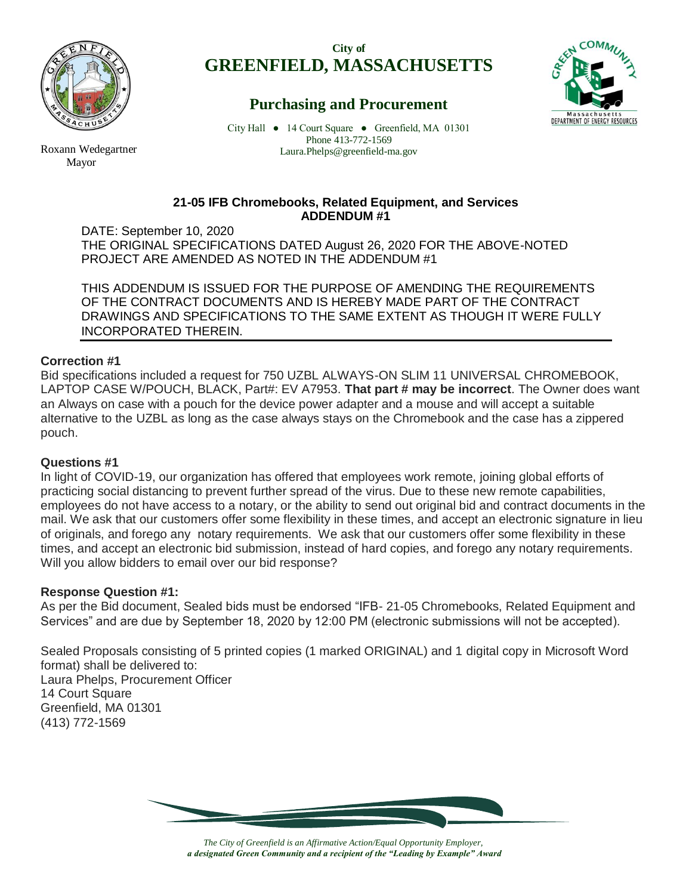

**City of GREENFIELD, MASSACHUSETTS**

# **Purchasing and Procurement**

City Hall ● 14 Court Square ● Greenfield, MA 01301 Phone 413-772-1569 Laura.Phelps@greenfield-ma.gov



# **21-05 IFB Chromebooks, Related Equipment, and Services ADDENDUM #1**

DATE: September 10, 2020 THE ORIGINAL SPECIFICATIONS DATED August 26, 2020 FOR THE ABOVE-NOTED PROJECT ARE AMENDED AS NOTED IN THE ADDENDUM #1

THIS ADDENDUM IS ISSUED FOR THE PURPOSE OF AMENDING THE REQUIREMENTS OF THE CONTRACT DOCUMENTS AND IS HEREBY MADE PART OF THE CONTRACT DRAWINGS AND SPECIFICATIONS TO THE SAME EXTENT AS THOUGH IT WERE FULLY INCORPORATED THEREIN.

# **Correction #1**

Bid specifications included a request for 750 UZBL ALWAYS-ON SLIM 11 UNIVERSAL CHROMEBOOK, LAPTOP CASE W/POUCH, BLACK, Part#: EV A7953. **That part # may be incorrect**. The Owner does want an Always on case with a pouch for the device power adapter and a mouse and will accept a suitable alternative to the UZBL as long as the case always stays on the Chromebook and the case has a zippered pouch.

# **Questions #1**

In light of COVID-19, our organization has offered that employees work remote, joining global efforts of practicing social distancing to prevent further spread of the virus. Due to these new remote capabilities, employees do not have access to a notary, or the ability to send out original bid and contract documents in the mail. We ask that our customers offer some flexibility in these times, and accept an electronic signature in lieu of originals, and forego any notary requirements. We ask that our customers offer some flexibility in these times, and accept an electronic bid submission, instead of hard copies, and forego any notary requirements. Will you allow bidders to email over our bid response?

# **Response Question #1:**

As per the Bid document, Sealed bids must be endorsed "IFB- 21-05 Chromebooks, Related Equipment and Services" and are due by September 18, 2020 by 12:00 PM (electronic submissions will not be accepted).

Sealed Proposals consisting of 5 printed copies (1 marked ORIGINAL) and 1 digital copy in Microsoft Word format) shall be delivered to: Laura Phelps, Procurement Officer 14 Court Square Greenfield, MA 01301 (413) 772-1569



*The City of Greenfield is an Affirmative Action/Equal Opportunity Employer, a designated Green Community and a recipient of the "Leading by Example" Award*

Roxann Wedegartner Mayor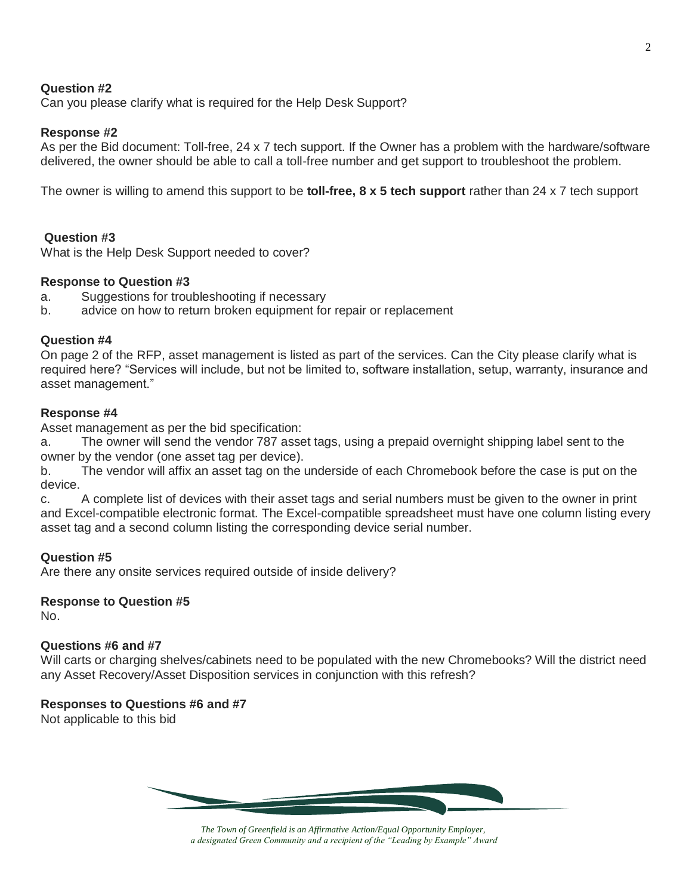Can you please clarify what is required for the Help Desk Support?

### **Response #2**

As per the Bid document: Toll-free, 24 x 7 tech support. If the Owner has a problem with the hardware/software delivered, the owner should be able to call a toll-free number and get support to troubleshoot the problem.

The owner is willing to amend this support to be **toll-free, 8 x 5 tech support** rather than 24 x 7 tech support

# **Question #3**

What is the Help Desk Support needed to cover?

### **Response to Question #3**

- a. Suggestions for troubleshooting if necessary
- b. advice on how to return broken equipment for repair or replacement

#### **Question #4**

On page 2 of the RFP, asset management is listed as part of the services. Can the City please clarify what is required here? "Services will include, but not be limited to, software installation, setup, warranty, insurance and asset management."

# **Response #4**

Asset management as per the bid specification:

a. The owner will send the vendor 787 asset tags, using a prepaid overnight shipping label sent to the owner by the vendor (one asset tag per device).

b. The vendor will affix an asset tag on the underside of each Chromebook before the case is put on the device.

c. A complete list of devices with their asset tags and serial numbers must be given to the owner in print and Excel-compatible electronic format. The Excel-compatible spreadsheet must have one column listing every asset tag and a second column listing the corresponding device serial number.

# **Question #5**

Are there any onsite services required outside of inside delivery?

#### **Response to Question #5**

No.

### **Questions #6 and #7**

Will carts or charging shelves/cabinets need to be populated with the new Chromebooks? Will the district need any Asset Recovery/Asset Disposition services in conjunction with this refresh?

#### **Responses to Questions #6 and #7**

Not applicable to this bid

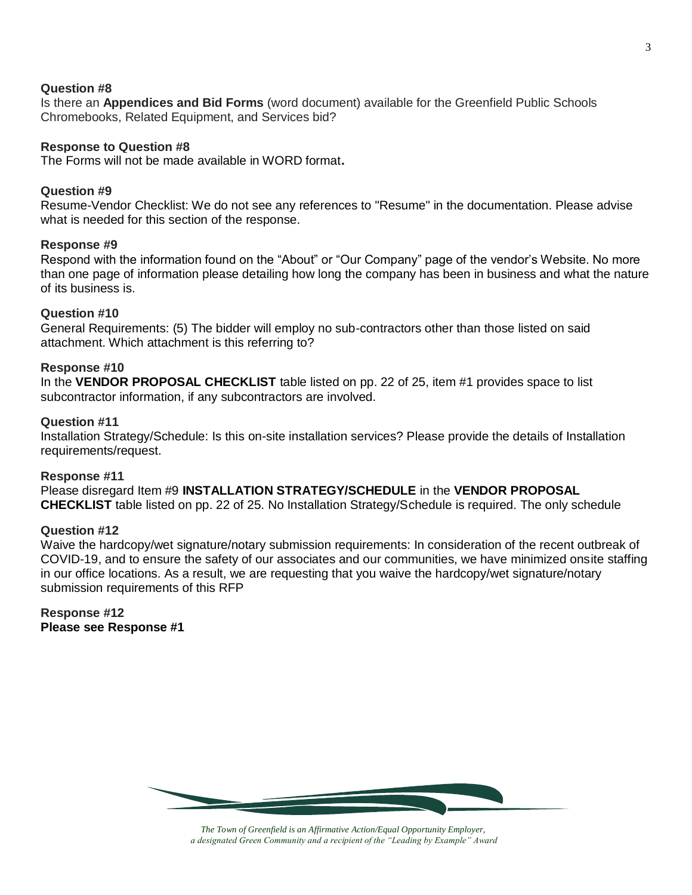Is there an **Appendices and Bid Forms** (word document) available for the Greenfield Public Schools Chromebooks, Related Equipment, and Services bid?

#### **Response to Question #8**

The Forms will not be made available in WORD format**.**

#### **Question #9**

Resume-Vendor Checklist: We do not see any references to "Resume" in the documentation. Please advise what is needed for this section of the response.

#### **Response #9**

Respond with the information found on the "About" or "Our Company" page of the vendor's Website. No more than one page of information please detailing how long the company has been in business and what the nature of its business is.

# **Question #10**

General Requirements: (5) The bidder will employ no sub-contractors other than those listed on said attachment. Which attachment is this referring to?

### **Response #10**

In the **VENDOR PROPOSAL CHECKLIST** table listed on pp. 22 of 25, item #1 provides space to list subcontractor information, if any subcontractors are involved.

# **Question #11**

Installation Strategy/Schedule: Is this on-site installation services? Please provide the details of Installation requirements/request.

#### **Response #11**

Please disregard Item #9 **INSTALLATION STRATEGY/SCHEDULE** in the **VENDOR PROPOSAL CHECKLIST** table listed on pp. 22 of 25. No Installation Strategy/Schedule is required. The only schedule

# **Question #12**

Waive the hardcopy/wet signature/notary submission requirements: In consideration of the recent outbreak of COVID-19, and to ensure the safety of our associates and our communities, we have minimized onsite staffing in our office locations. As a result, we are requesting that you waive the hardcopy/wet signature/notary submission requirements of this RFP

**Response #12 Please see Response #1**

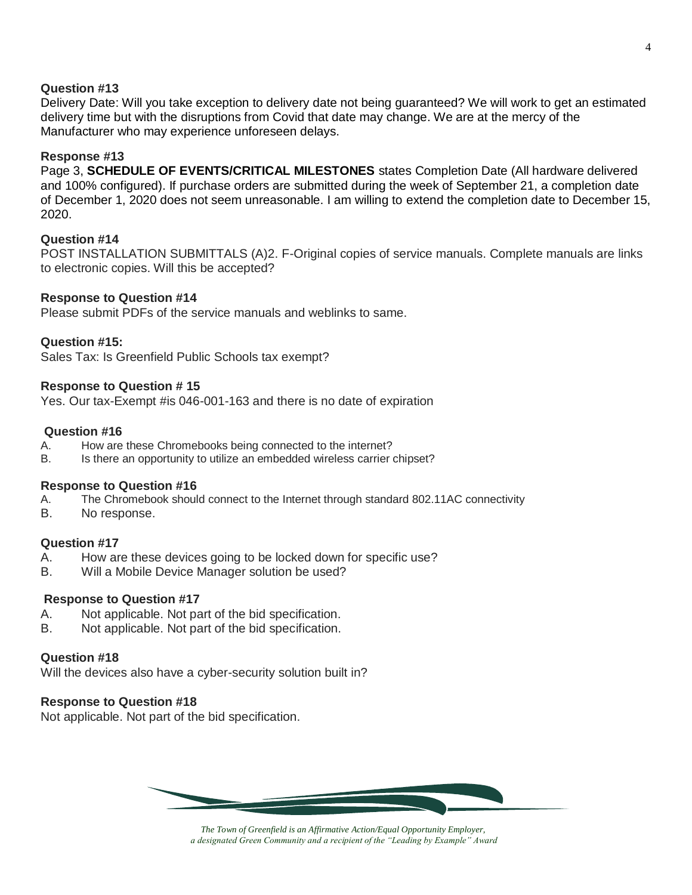Delivery Date: Will you take exception to delivery date not being guaranteed? We will work to get an estimated delivery time but with the disruptions from Covid that date may change. We are at the mercy of the Manufacturer who may experience unforeseen delays.

# **Response #13**

Page 3, **SCHEDULE OF EVENTS/CRITICAL MILESTONES** states Completion Date (All hardware delivered and 100% configured). If purchase orders are submitted during the week of September 21, a completion date of December 1, 2020 does not seem unreasonable. I am willing to extend the completion date to December 15, 2020.

### **Question #14**

POST INSTALLATION SUBMITTALS (A)2. F-Original copies of service manuals. Complete manuals are links to electronic copies. Will this be accepted?

# **Response to Question #14**

Please submit PDFs of the service manuals and weblinks to same.

### **Question #15:**

Sales Tax: Is Greenfield Public Schools tax exempt?

# **Response to Question # 15**

Yes. Our tax-Exempt #is 046-001-163 and there is no date of expiration

#### **Question #16**

- A. How are these Chromebooks being connected to the internet?
- B. Is there an opportunity to utilize an embedded wireless carrier chipset?

#### **Response to Question #16**

- A. The Chromebook should connect to the Internet through standard 802.11AC connectivity
- B. No response.

#### **Question #17**

- A. How are these devices going to be locked down for specific use?
- B. Will a Mobile Device Manager solution be used?

#### **Response to Question #17**

- A. Not applicable. Not part of the bid specification.
- B. Not applicable. Not part of the bid specification.

#### **Question #18**

Will the devices also have a cyber-security solution built in?

# **Response to Question #18**

Not applicable. Not part of the bid specification.

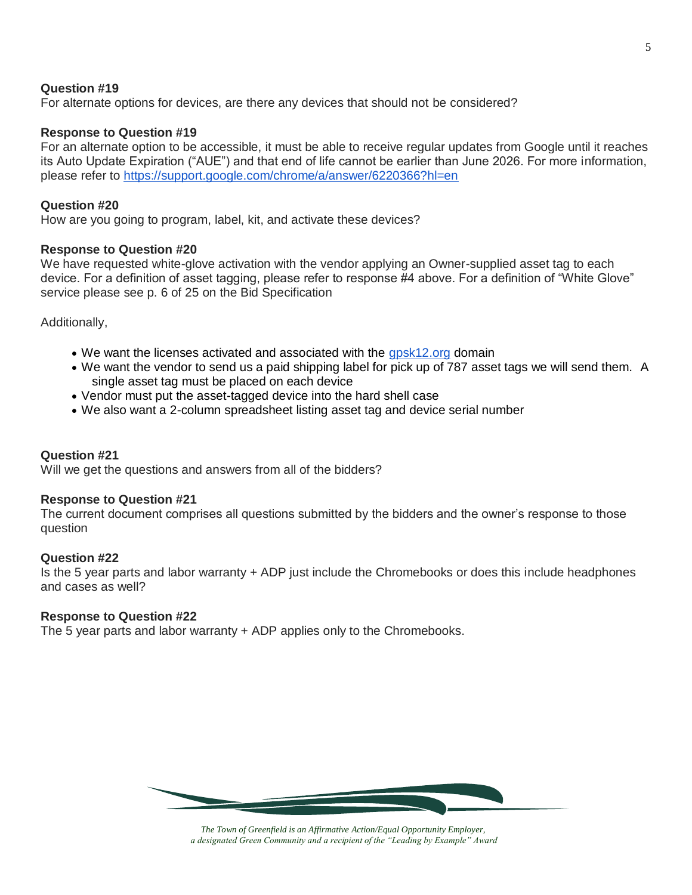For alternate options for devices, are there any devices that should not be considered?

### **Response to Question #19**

For an alternate option to be accessible, it must be able to receive regular updates from Google until it reaches its Auto Update Expiration ("AUE") and that end of life cannot be earlier than June 2026. For more information, please refer to<https://support.google.com/chrome/a/answer/6220366?hl=en>

# **Question #20**

How are you going to program, label, kit, and activate these devices?

### **Response to Question #20**

We have requested white-glove activation with the vendor applying an Owner-supplied asset tag to each device. For a definition of asset tagging, please refer to response #4 above. For a definition of "White Glove" service please see p. 6 of 25 on the Bid Specification

Additionally,

- We want the licenses activated and associated with the [gpsk12.org](http://gpsk12.org/) domain
- We want the vendor to send us a paid shipping label for pick up of 787 asset tags we will send them. A single asset tag must be placed on each device
- Vendor must put the asset-tagged device into the hard shell case
- We also want a 2-column spreadsheet listing asset tag and device serial number

### **Question #21**

Will we get the questions and answers from all of the bidders?

#### **Response to Question #21**

The current document comprises all questions submitted by the bidders and the owner's response to those question

#### **Question #22**

Is the 5 year parts and labor warranty + ADP just include the Chromebooks or does this include headphones and cases as well?

# **Response to Question #22**

The 5 year parts and labor warranty + ADP applies only to the Chromebooks.

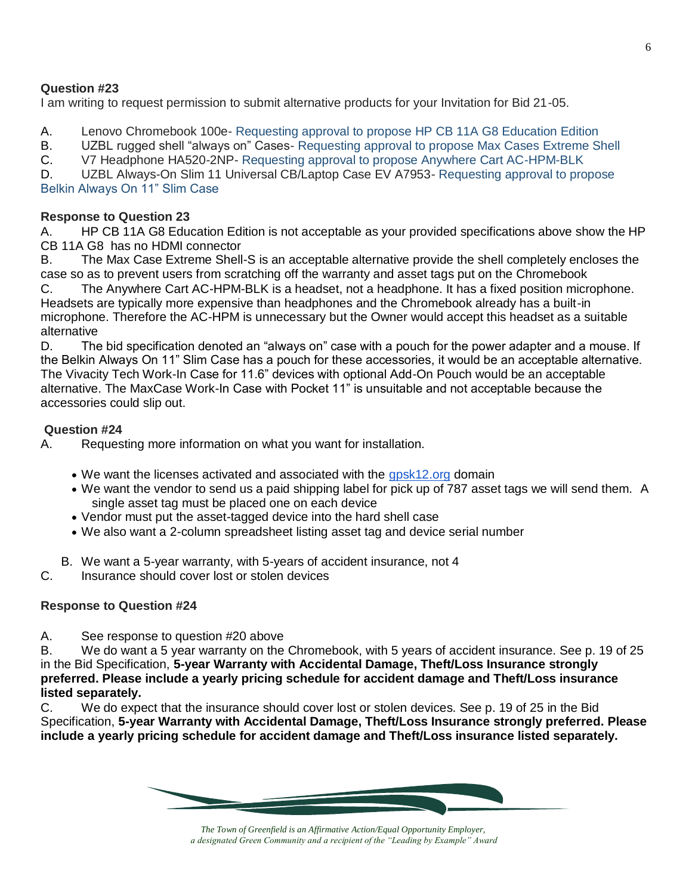I am writing to request permission to submit alternative products for your Invitation for Bid 21-05.

A. Lenovo Chromebook 100e- Requesting approval to propose HP CB 11A G8 Education Edition

B. UZBL rugged shell "always on" Cases- Requesting approval to propose Max Cases Extreme Shell

C. V7 Headphone HA520-2NP- Requesting approval to propose Anywhere Cart AC-HPM-BLK

D. UZBL Always-On Slim 11 Universal CB/Laptop Case EV A7953- Requesting approval to propose Belkin Always On 11" Slim Case

# **Response to Question 23**

A. HP CB 11A G8 Education Edition is not acceptable as your provided specifications above show the HP CB 11A G8 has no HDMI connector

B. The Max Case Extreme Shell-S is an acceptable alternative provide the shell completely encloses the case so as to prevent users from scratching off the warranty and asset tags put on the Chromebook

C. The Anywhere Cart AC-HPM-BLK is a headset, not a headphone. It has a fixed position microphone. Headsets are typically more expensive than headphones and the Chromebook already has a built-in microphone. Therefore the AC-HPM is unnecessary but the Owner would accept this headset as a suitable alternative

D. The bid specification denoted an "always on" case with a pouch for the power adapter and a mouse. If the Belkin Always On 11" Slim Case has a pouch for these accessories, it would be an acceptable alternative. The Vivacity Tech Work-In Case for 11.6" devices with optional Add-On Pouch would be an acceptable alternative. The MaxCase Work-In Case with Pocket 11" is unsuitable and not acceptable because the accessories could slip out.

# **Question #24**

A. Requesting more information on what you want for installation.

- We want the licenses activated and associated with the [gpsk12.org](http://gpsk12.org/) domain
- We want the vendor to send us a paid shipping label for pick up of 787 asset tags we will send them. A single asset tag must be placed one on each device
- Vendor must put the asset-tagged device into the hard shell case
- We also want a 2-column spreadsheet listing asset tag and device serial number
- B. We want a 5-year warranty, with 5-years of accident insurance, not 4
- C. Insurance should cover lost or stolen devices

# **Response to Question #24**

A. See response to question #20 above

B. We do want a 5 year warranty on the Chromebook, with 5 years of accident insurance. See p. 19 of 25 in the Bid Specification, **5-year Warranty with Accidental Damage, Theft/Loss Insurance strongly preferred. Please include a yearly pricing schedule for accident damage and Theft/Loss insurance listed separately.**

C. We do expect that the insurance should cover lost or stolen devices. See p. 19 of 25 in the Bid Specification, **5-year Warranty with Accidental Damage, Theft/Loss Insurance strongly preferred. Please include a yearly pricing schedule for accident damage and Theft/Loss insurance listed separately.**

*The Town of Greenfield is an Affirmative Action/Equal Opportunity Employer, a designated Green Community and a recipient of the "Leading by Example" Award*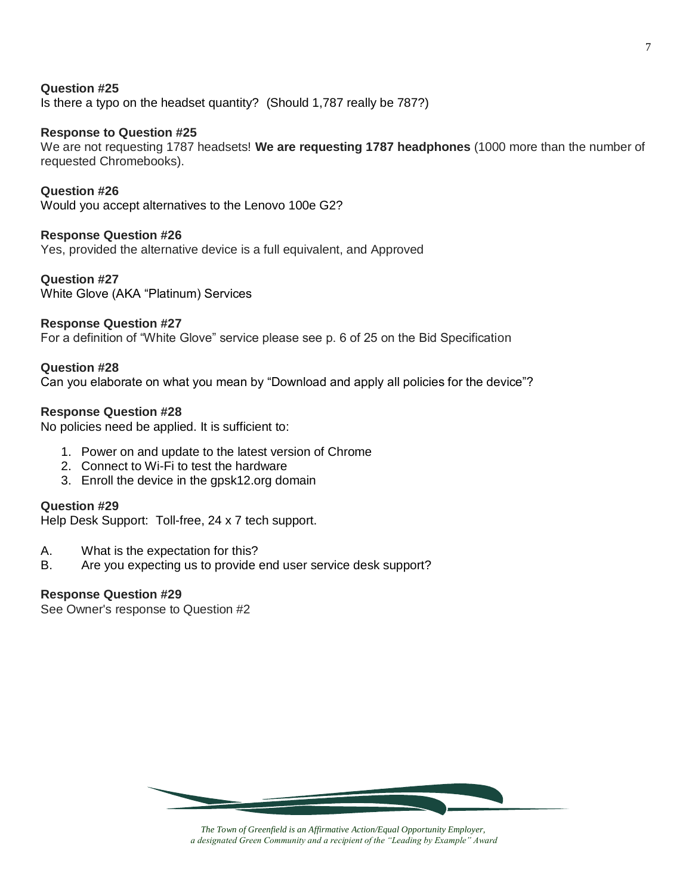Is there a typo on the headset quantity? (Should 1,787 really be 787?)

# **Response to Question #25**

We are not requesting 1787 headsets! **We are requesting 1787 headphones** (1000 more than the number of requested Chromebooks).

### **Question #26**

Would you accept alternatives to the Lenovo 100e G2?

### **Response Question #26**

Yes, provided the alternative device is a full equivalent, and Approved

# **Question #27**

White Glove (AKA "Platinum) Services

# **Response Question #27**

For a definition of "White Glove" service please see p. 6 of 25 on the Bid Specification

### **Question #28**

Can you elaborate on what you mean by "Download and apply all policies for the device"?

### **Response Question #28**

No policies need be applied. It is sufficient to:

- 1. Power on and update to the latest version of Chrome
- 2. Connect to Wi-Fi to test the hardware
- 3. Enroll the device in the gpsk12.org domain

### **Question #29**

Help Desk Support: Toll-free, 24 x 7 tech support.

- A. What is the expectation for this?
- B. Are you expecting us to provide end user service desk support?

#### **Response Question #29**

See Owner's response to Question #2